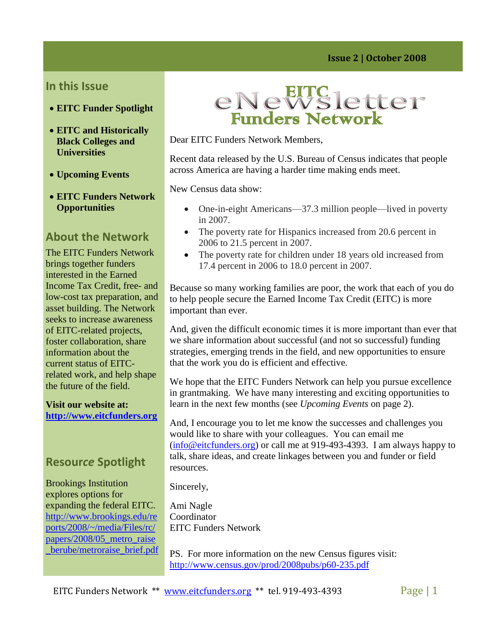#### **In this Issue**

- **EITC Funder Spotlight**
- **EITC and Historically Black Colleges and Universities**
- **Upcoming Events**
- **EITC Funders Network Opportunities**

## **About the Network**

The EITC Funders Network brings together funders interested in the Earned Income Tax Credit, free- and low-cost tax preparation, and asset building. The Network seeks to increase awareness of EITC-related projects, foster collaboration, share information about the current status of EITCrelated work, and help shape the future of the field.

#### **Visit our website at: [http://www.eitcfunders.org](http://www.eitcfunders.org/)**

### **Resour***ce* **Spotlight**

Brookings Institution explores options for expanding the federal EITC. [http://www.brookings.edu/re](http://www.brookings.edu/reports/2008/~/media/Files/rc/papers/2008/05_metro_raise_berube/metroraise_brief.pdf) [ports/2008/~/media/Files/rc/](http://www.brookings.edu/reports/2008/~/media/Files/rc/papers/2008/05_metro_raise_berube/metroraise_brief.pdf) [papers/2008/05\\_metro\\_raise](http://www.brookings.edu/reports/2008/~/media/Files/rc/papers/2008/05_metro_raise_berube/metroraise_brief.pdf) [\\_berube/metroraise\\_brief.pdf](http://www.brookings.edu/reports/2008/~/media/Files/rc/papers/2008/05_metro_raise_berube/metroraise_brief.pdf)



Dear EITC Funders Network Members,

Recent data released by the U.S. Bureau of Census indicates that people across America are having a harder time making ends meet.

New Census data show:

- One-in-eight Americans—37.3 million people—lived in poverty in 2007.
- The poverty rate for Hispanics increased from 20.6 percent in 2006 to 21.5 percent in 2007.
- The poverty rate for children under 18 years old increased from 17.4 percent in 2006 to 18.0 percent in 2007.

Because so many working families are poor, the work that each of you do to help people secure the Earned Income Tax Credit (EITC) is more important than ever.

And, given the difficult economic times it is more important than ever that we share information about successful (and not so successful) funding strategies, emerging trends in the field, and new opportunities to ensure that the work you do is efficient and effective.

We hope that the EITC Funders Network can help you pursue excellence in grantmaking. We have many interesting and exciting opportunities to learn in the next few months (see *Upcoming Events* on page 2).

And, I encourage you to let me know the successes and challenges you would like to share with your colleagues. You can email me [\(info@eitcfunders.org\)](mailto:info@eitcfunders.org) or call me at 919-493-4393. I am always happy to talk, share ideas, and create linkages between you and funder or field resources.

Sincerely,

Ami Nagle **Coordinator** EITC Funders Network

PS. For more information on the new Census figures visit: <http://www.census.gov/prod/2008pubs/p60-235.pdf>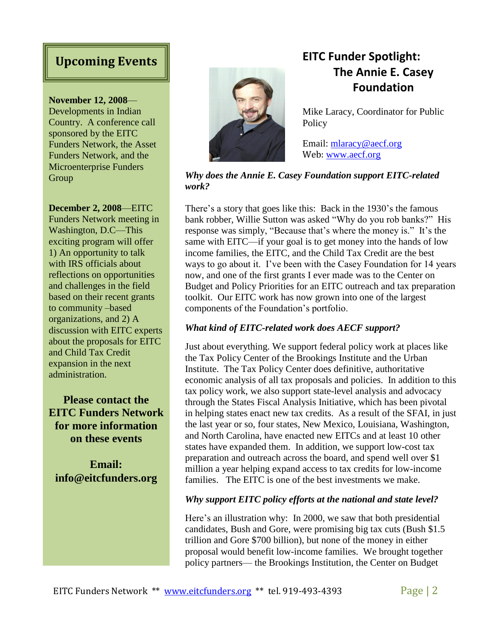#### **November 12, 2008**—

Developments in Indian Country. A conference call sponsored by the EITC Funders Network, the Asset Funders Network, and the Microenterprise Funders Group

#### **December 2, 2008**—EITC

Funders Network meeting in Washington, D.C—This exciting program will offer 1) An opportunity to talk with IRS officials about reflections on opportunities and challenges in the field based on their recent grants to community –based organizations, and 2) A discussion with EITC experts about the proposals for EITC and Child Tax Credit expansion in the next administration.

**Please contact the EITC Funders Network for more information on these events**

**Email: info@eitcfunders.org**



# **Upcoming Events EITC Funder Spotlight: The Annie E. Casey Foundation**

Mike Laracy, Coordinator for Public **Policy** 

Email: [mlaracy@aecf.org](mailto:mlaracy@aecf.org) Web: [www.aecf.org](http://www.aecf.org/)

#### *Why does the Annie E. Casey Foundation support EITC-related work?*

There's a story that goes like this: Back in the 1930's the famous bank robber, Willie Sutton was asked "Why do you rob banks?" His response was simply, "Because that's where the money is." It's the same with EITC—if your goal is to get money into the hands of low income families, the EITC, and the Child Tax Credit are the best ways to go about it. I've been with the Casey Foundation for 14 years now, and one of the first grants I ever made was to the Center on Budget and Policy Priorities for an EITC outreach and tax preparation toolkit. Our EITC work has now grown into one of the largest components of the Foundation's portfolio.

#### *What kind of EITC-related work does AECF support?*

Just about everything. We support federal policy work at places like the Tax Policy Center of the Brookings Institute and the Urban Institute. The Tax Policy Center does definitive, authoritative economic analysis of all tax proposals and policies. In addition to this tax policy work, we also support state-level analysis and advocacy through the States Fiscal Analysis Initiative, which has been pivotal in helping states enact new tax credits. As a result of the SFAI, in just the last year or so, four states, New Mexico, Louisiana, Washington, and North Carolina, have enacted new EITCs and at least 10 other states have expanded them. In addition, we support low-cost tax preparation and outreach across the board, and spend well over \$1 million a year helping expand access to tax credits for low-income families. The EITC is one of the best investments we make.

#### *Why support EITC policy efforts at the national and state level?*

Here's an illustration why: In 2000, we saw that both presidential candidates, Bush and Gore, were promising big tax cuts (Bush \$1.5 trillion and Gore \$700 billion), but none of the money in either proposal would benefit low-income families. We brought together policy partners— the Brookings Institution, the Center on Budget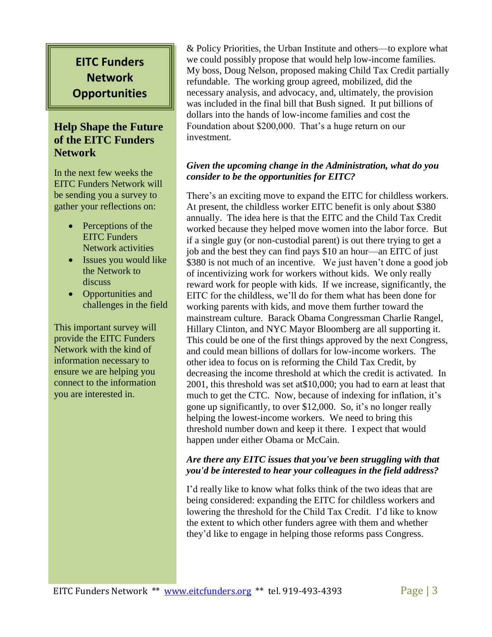# **EITC Funders Network Opportunities**

#### **Help Shape the Future of the EITC Funders Network**

In the next few weeks the EITC Funders Network will be sending you a survey to gather your reflections on:

- Perceptions of the EITC Funders Network activities
- Issues you would like the Network to discuss
- Opportunities and challenges in the field

This important survey will provide the EITC Funders Network with the kind of information necessary to ensure we are helping you connect to the information you are interested in.

& Policy Priorities, the Urban Institute and others—to explore what we could possibly propose that would help low-income families. My boss, Doug Nelson, proposed making Child Tax Credit partially refundable. The working group agreed, mobilized, did the necessary analysis, and advocacy, and, ultimately, the provision was included in the final bill that Bush signed. It put billions of dollars into the hands of low-income families and cost the Foundation about \$200,000. That's a huge return on our investment.

#### *Given the upcoming change in the Administration, what do you consider to be the opportunities for EITC?*

There's an exciting move to expand the EITC for childless workers. At present, the childless worker EITC benefit is only about \$380 annually. The idea here is that the EITC and the Child Tax Credit worked because they helped move women into the labor force. But if a single guy (or non-custodial parent) is out there trying to get a job and the best they can find pays \$10 an hour—an EITC of just \$380 is not much of an incentive. We just haven't done a good job of incentivizing work for workers without kids. We only really reward work for people with kids. If we increase, significantly, the EITC for the childless, we'll do for them what has been done for working parents with kids, and move them further toward the mainstream culture. Barack Obama Congressman Charlie Rangel, Hillary Clinton, and NYC Mayor Bloomberg are all supporting it. This could be one of the first things approved by the next Congress, and could mean billions of dollars for low-income workers. The other idea to focus on is reforming the Child Tax Credit, by decreasing the income threshold at which the credit is activated. In 2001, this threshold was set at\$10,000; you had to earn at least that much to get the CTC. Now, because of indexing for inflation, it's gone up significantly, to over \$12,000. So, it's no longer really helping the lowest-income workers. We need to bring this threshold number down and keep it there. I expect that would happen under either Obama or McCain.

#### *Are there any EITC issues that you've been struggling with that you'd be interested to hear your colleagues in the field address?*

I'd really like to know what folks think of the two ideas that are being considered: expanding the EITC for childless workers and lowering the threshold for the Child Tax Credit. I'd like to know the extent to which other funders agree with them and whether they'd like to engage in helping those reforms pass Congress.